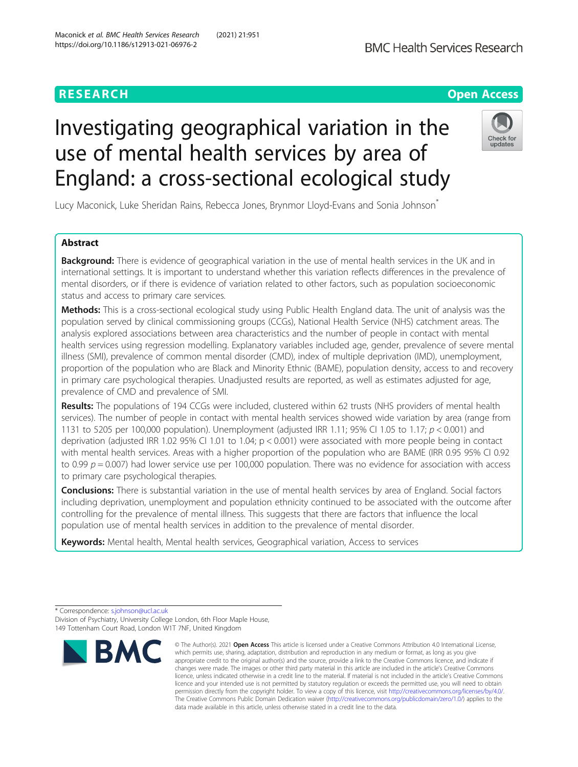# **RESEARCH CHE Open Access**

# Investigating geographical variation in the use of mental health services by area of England: a cross-sectional ecological study



Lucy Maconick, Luke Sheridan Rains, Rebecca Jones, Brynmor Lloyd-Evans and Sonia Johnson<sup>\*</sup>

## Abstract

**Background:** There is evidence of geographical variation in the use of mental health services in the UK and in international settings. It is important to understand whether this variation reflects differences in the prevalence of mental disorders, or if there is evidence of variation related to other factors, such as population socioeconomic status and access to primary care services.

Methods: This is a cross-sectional ecological study using Public Health England data. The unit of analysis was the population served by clinical commissioning groups (CCGs), National Health Service (NHS) catchment areas. The analysis explored associations between area characteristics and the number of people in contact with mental health services using regression modelling. Explanatory variables included age, gender, prevalence of severe mental illness (SMI), prevalence of common mental disorder (CMD), index of multiple deprivation (IMD), unemployment, proportion of the population who are Black and Minority Ethnic (BAME), population density, access to and recovery in primary care psychological therapies. Unadjusted results are reported, as well as estimates adjusted for age, prevalence of CMD and prevalence of SMI.

Results: The populations of 194 CCGs were included, clustered within 62 trusts (NHS providers of mental health services). The number of people in contact with mental health services showed wide variation by area (range from 1131 to 5205 per 100,000 population). Unemployment (adjusted IRR 1.11; 95% CI 1.05 to 1.17;  $p < 0.001$ ) and deprivation (adjusted IRR 1.02 95% CI 1.01 to 1.04;  $p < 0.001$ ) were associated with more people being in contact with mental health services. Areas with a higher proportion of the population who are BAME (IRR 0.95 95% CI 0.92 to 0.99  $p = 0.007$ ) had lower service use per 100,000 population. There was no evidence for association with access to primary care psychological therapies.

**Conclusions:** There is substantial variation in the use of mental health services by area of England. Social factors including deprivation, unemployment and population ethnicity continued to be associated with the outcome after controlling for the prevalence of mental illness. This suggests that there are factors that influence the local population use of mental health services in addition to the prevalence of mental disorder.

Keywords: Mental health, Mental health services, Geographical variation, Access to services

<sup>\*</sup> Correspondence: [s.johnson@ucl.ac.uk](mailto:s.johnson@ucl.ac.uk) Division of Psychiatry, University College London, 6th Floor Maple House, 149 Tottenham Court Road, London W1T 7NF, United Kingdom



<sup>©</sup> The Author(s), 2021 **Open Access** This article is licensed under a Creative Commons Attribution 4.0 International License, which permits use, sharing, adaptation, distribution and reproduction in any medium or format, as long as you give appropriate credit to the original author(s) and the source, provide a link to the Creative Commons licence, and indicate if changes were made. The images or other third party material in this article are included in the article's Creative Commons licence, unless indicated otherwise in a credit line to the material. If material is not included in the article's Creative Commons licence and your intended use is not permitted by statutory regulation or exceeds the permitted use, you will need to obtain permission directly from the copyright holder. To view a copy of this licence, visit [http://creativecommons.org/licenses/by/4.0/.](http://creativecommons.org/licenses/by/4.0/) The Creative Commons Public Domain Dedication waiver [\(http://creativecommons.org/publicdomain/zero/1.0/](http://creativecommons.org/publicdomain/zero/1.0/)) applies to the data made available in this article, unless otherwise stated in a credit line to the data.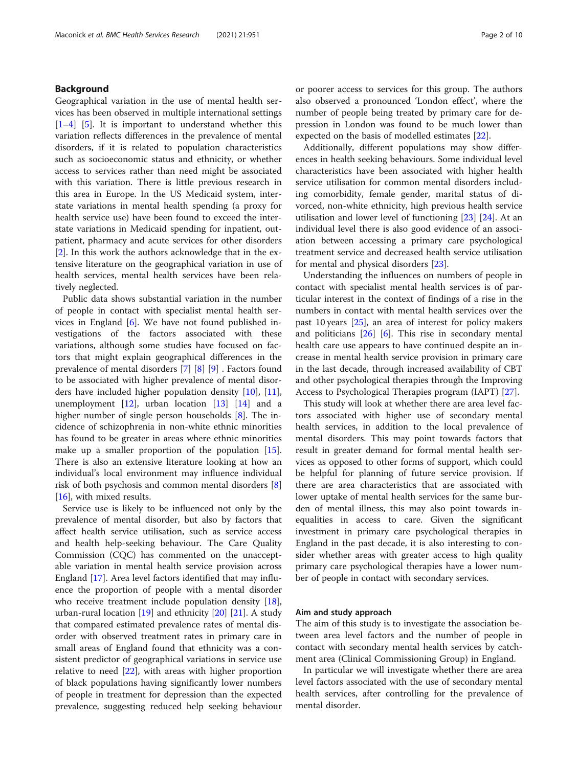#### Background

Geographical variation in the use of mental health services has been observed in multiple international settings  $[1-4]$  $[1-4]$  $[1-4]$  $[1-4]$  [\[5](#page-8-0)]. It is important to understand whether this variation reflects differences in the prevalence of mental disorders, if it is related to population characteristics such as socioeconomic status and ethnicity, or whether access to services rather than need might be associated with this variation. There is little previous research in this area in Europe. In the US Medicaid system, interstate variations in mental health spending (a proxy for health service use) have been found to exceed the interstate variations in Medicaid spending for inpatient, outpatient, pharmacy and acute services for other disorders [[2\]](#page-8-0). In this work the authors acknowledge that in the extensive literature on the geographical variation in use of health services, mental health services have been relatively neglected.

Public data shows substantial variation in the number of people in contact with specialist mental health services in England [\[6](#page-8-0)]. We have not found published investigations of the factors associated with these variations, although some studies have focused on factors that might explain geographical differences in the prevalence of mental disorders [[7\]](#page-8-0) [\[8](#page-8-0)] [[9](#page-8-0)] . Factors found to be associated with higher prevalence of mental disorders have included higher population density [\[10\]](#page-8-0), [\[11](#page-8-0)], unemployment  $[12]$ , urban location  $[13]$  $[13]$  $[13]$   $[14]$  and a higher number of single person households [\[8](#page-8-0)]. The incidence of schizophrenia in non-white ethnic minorities has found to be greater in areas where ethnic minorities make up a smaller proportion of the population [\[15](#page-8-0)]. There is also an extensive literature looking at how an individual's local environment may influence individual risk of both psychosis and common mental disorders [\[8](#page-8-0)] [[16\]](#page-8-0), with mixed results.

Service use is likely to be influenced not only by the prevalence of mental disorder, but also by factors that affect health service utilisation, such as service access and health help-seeking behaviour. The Care Quality Commission (CQC) has commented on the unacceptable variation in mental health service provision across England [\[17\]](#page-8-0). Area level factors identified that may influence the proportion of people with a mental disorder who receive treatment include population density [\[18](#page-8-0)], urban-rural location [[19\]](#page-8-0) and ethnicity [\[20](#page-8-0)] [[21](#page-9-0)]. A study that compared estimated prevalence rates of mental disorder with observed treatment rates in primary care in small areas of England found that ethnicity was a consistent predictor of geographical variations in service use relative to need [\[22\]](#page-9-0), with areas with higher proportion of black populations having significantly lower numbers of people in treatment for depression than the expected prevalence, suggesting reduced help seeking behaviour or poorer access to services for this group. The authors also observed a pronounced 'London effect', where the number of people being treated by primary care for depression in London was found to be much lower than expected on the basis of modelled estimates [[22\]](#page-9-0).

Additionally, different populations may show differences in health seeking behaviours. Some individual level characteristics have been associated with higher health service utilisation for common mental disorders including comorbidity, female gender, marital status of divorced, non-white ethnicity, high previous health service utilisation and lower level of functioning [\[23\]](#page-9-0) [\[24](#page-9-0)]. At an individual level there is also good evidence of an association between accessing a primary care psychological treatment service and decreased health service utilisation for mental and physical disorders [\[23](#page-9-0)].

Understanding the influences on numbers of people in contact with specialist mental health services is of particular interest in the context of findings of a rise in the numbers in contact with mental health services over the past 10 years [[25\]](#page-9-0), an area of interest for policy makers and politicians  $[26]$  [\[6\]](#page-8-0). This rise in secondary mental health care use appears to have continued despite an increase in mental health service provision in primary care in the last decade, through increased availability of CBT and other psychological therapies through the Improving Access to Psychological Therapies program (IAPT) [\[27](#page-9-0)].

This study will look at whether there are area level factors associated with higher use of secondary mental health services, in addition to the local prevalence of mental disorders. This may point towards factors that result in greater demand for formal mental health services as opposed to other forms of support, which could be helpful for planning of future service provision. If there are area characteristics that are associated with lower uptake of mental health services for the same burden of mental illness, this may also point towards inequalities in access to care. Given the significant investment in primary care psychological therapies in England in the past decade, it is also interesting to consider whether areas with greater access to high quality primary care psychological therapies have a lower number of people in contact with secondary services.

#### Aim and study approach

The aim of this study is to investigate the association between area level factors and the number of people in contact with secondary mental health services by catchment area (Clinical Commissioning Group) in England.

In particular we will investigate whether there are area level factors associated with the use of secondary mental health services, after controlling for the prevalence of mental disorder.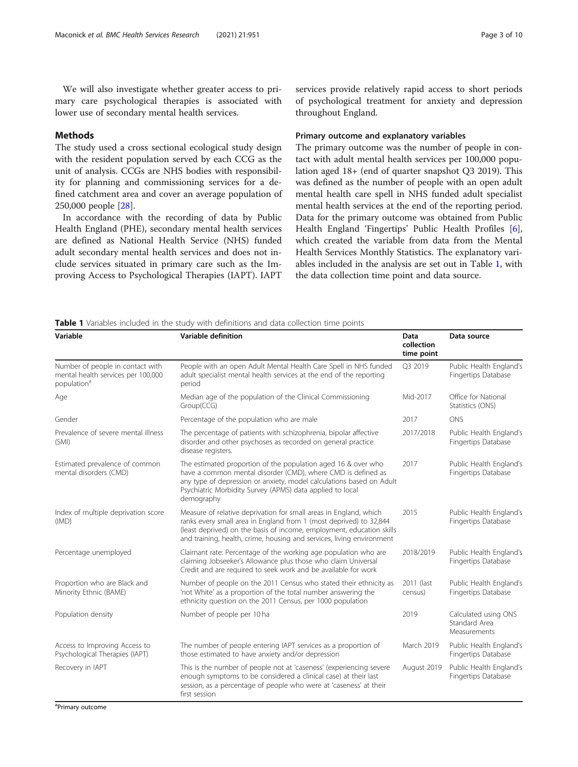<span id="page-2-0"></span>We will also investigate whether greater access to primary care psychological therapies is associated with lower use of secondary mental health services.

#### Methods

The study used a cross sectional ecological study design with the resident population served by each CCG as the unit of analysis. CCGs are NHS bodies with responsibility for planning and commissioning services for a defined catchment area and cover an average population of 250,000 people [\[28](#page-9-0)].

In accordance with the recording of data by Public Health England (PHE), secondary mental health services are defined as National Health Service (NHS) funded adult secondary mental health services and does not include services situated in primary care such as the Improving Access to Psychological Therapies (IAPT). IAPT services provide relatively rapid access to short periods of psychological treatment for anxiety and depression throughout England.

#### Primary outcome and explanatory variables

The primary outcome was the number of people in contact with adult mental health services per 100,000 population aged 18+ (end of quarter snapshot Q3 2019). This was defined as the number of people with an open adult mental health care spell in NHS funded adult specialist mental health services at the end of the reporting period. Data for the primary outcome was obtained from Public Health England 'Fingertips' Public Health Profiles [\[6](#page-8-0)], which created the variable from data from the Mental Health Services Monthly Statistics. The explanatory variables included in the analysis are set out in Table 1, with the data collection time point and data source.

Table 1 Variables included in the study with definitions and data collection time points

| Variable                                                                                                                                                                                                                                               | <b>Variable definition</b>                                                                                                                                                                                                                                                                | Data<br>collection<br>time point | Data source                                           |  |
|--------------------------------------------------------------------------------------------------------------------------------------------------------------------------------------------------------------------------------------------------------|-------------------------------------------------------------------------------------------------------------------------------------------------------------------------------------------------------------------------------------------------------------------------------------------|----------------------------------|-------------------------------------------------------|--|
| People with an open Adult Mental Health Care Spell in NHS funded<br>Number of people in contact with<br>mental health services per 100,000<br>adult specialist mental health services at the end of the reporting<br>population <sup>a</sup><br>period |                                                                                                                                                                                                                                                                                           | O3 2019                          | Public Health England's<br>Fingertips Database        |  |
| Age                                                                                                                                                                                                                                                    | Median age of the population of the Clinical Commissioning<br>Group(CCG)                                                                                                                                                                                                                  | Mid-2017                         | Office for National<br>Statistics (ONS)               |  |
| Gender                                                                                                                                                                                                                                                 | Percentage of the population who are male                                                                                                                                                                                                                                                 | 2017                             | <b>ONS</b>                                            |  |
| Prevalence of severe mental illness<br>(SMI)                                                                                                                                                                                                           | The percentage of patients with schizophrenia, bipolar affective<br>disorder and other psychoses as recorded on general practice<br>disease registers.                                                                                                                                    | 2017/2018                        | Public Health England's<br><b>Fingertips Database</b> |  |
| Estimated prevalence of common<br>mental disorders (CMD)                                                                                                                                                                                               | The estimated proportion of the population aged 16 & over who<br>have a common mental disorder (CMD), where CMD is defined as<br>any type of depression or anxiety, model calculations based on Adult<br>Psychiatric Morbidity Survey (APMS) data applied to local<br>demography          | 2017                             | Public Health England's<br><b>Fingertips Database</b> |  |
| Index of multiple deprivation score<br>(IMD)                                                                                                                                                                                                           | Measure of relative deprivation for small areas in England, which<br>ranks every small area in England from 1 (most deprived) to 32,844<br>(least deprived) on the basis of income, employment, education skills<br>and training, health, crime, housing and services, living environment | 2015                             | Public Health England's<br><b>Fingertips Database</b> |  |
| Percentage unemployed                                                                                                                                                                                                                                  | Claimant rate: Percentage of the working age population who are<br>claiming Jobseeker's Allowance plus those who claim Universal<br>Credit and are required to seek work and be available for work                                                                                        | 2018/2019                        | Public Health England's<br><b>Fingertips Database</b> |  |
| Proportion who are Black and<br>Minority Ethnic (BAME)                                                                                                                                                                                                 | Number of people on the 2011 Census who stated their ethnicity as<br>'not White' as a proportion of the total number answering the<br>ethnicity question on the 2011 Census, per 1000 population                                                                                          |                                  | Public Health England's<br>Fingertips Database        |  |
| Population density                                                                                                                                                                                                                                     | Number of people per 10 ha                                                                                                                                                                                                                                                                | 2019                             | Calculated using ONS<br>Standard Area<br>Measurements |  |
| Access to Improving Access to<br>Psychological Therapies (IAPT)                                                                                                                                                                                        | The number of people entering IAPT services as a proportion of<br>those estimated to have anxiety and/or depression                                                                                                                                                                       | March 2019                       | Public Health England's<br><b>Fingertips Database</b> |  |
| Recovery in IAPT                                                                                                                                                                                                                                       | This is the number of people not at 'caseness' (experiencing severe<br>enough symptoms to be considered a clinical case) at their last<br>session, as a percentage of people who were at 'caseness' at their<br>first session                                                             | August 2019                      | Public Health England's<br>Fingertips Database        |  |

<sup>a</sup>Primary outcome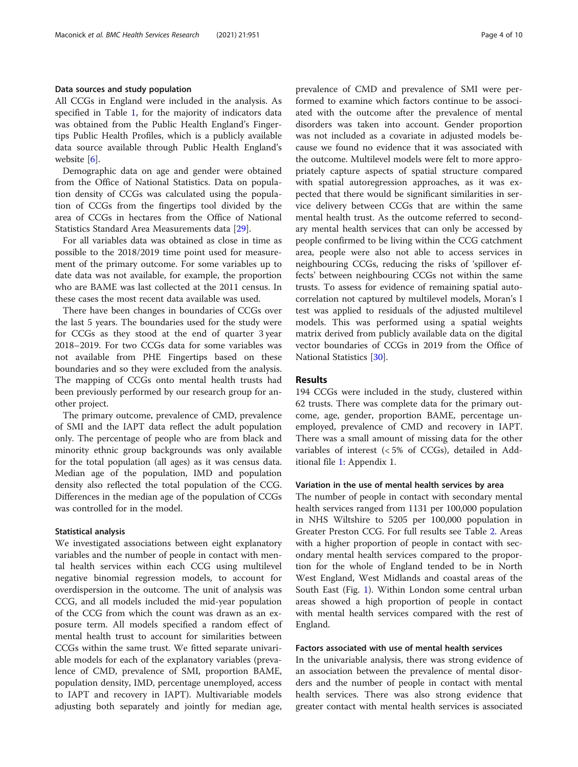#### Data sources and study population

All CCGs in England were included in the analysis. As specified in Table [1](#page-2-0), for the majority of indicators data was obtained from the Public Health England's Fingertips Public Health Profiles, which is a publicly available data source available through Public Health England's website [\[6\]](#page-8-0).

Demographic data on age and gender were obtained from the Office of National Statistics. Data on population density of CCGs was calculated using the population of CCGs from the fingertips tool divided by the area of CCGs in hectares from the Office of National Statistics Standard Area Measurements data [[29\]](#page-9-0).

For all variables data was obtained as close in time as possible to the 2018/2019 time point used for measurement of the primary outcome. For some variables up to date data was not available, for example, the proportion who are BAME was last collected at the 2011 census. In these cases the most recent data available was used.

There have been changes in boundaries of CCGs over the last 5 years. The boundaries used for the study were for CCGs as they stood at the end of quarter 3 year 2018–2019. For two CCGs data for some variables was not available from PHE Fingertips based on these boundaries and so they were excluded from the analysis. The mapping of CCGs onto mental health trusts had been previously performed by our research group for another project.

The primary outcome, prevalence of CMD, prevalence of SMI and the IAPT data reflect the adult population only. The percentage of people who are from black and minority ethnic group backgrounds was only available for the total population (all ages) as it was census data. Median age of the population, IMD and population density also reflected the total population of the CCG. Differences in the median age of the population of CCGs was controlled for in the model.

#### Statistical analysis

We investigated associations between eight explanatory variables and the number of people in contact with mental health services within each CCG using multilevel negative binomial regression models, to account for overdispersion in the outcome. The unit of analysis was CCG, and all models included the mid-year population of the CCG from which the count was drawn as an exposure term. All models specified a random effect of mental health trust to account for similarities between CCGs within the same trust. We fitted separate univariable models for each of the explanatory variables (prevalence of CMD, prevalence of SMI, proportion BAME, population density, IMD, percentage unemployed, access to IAPT and recovery in IAPT). Multivariable models adjusting both separately and jointly for median age, prevalence of CMD and prevalence of SMI were performed to examine which factors continue to be associated with the outcome after the prevalence of mental disorders was taken into account. Gender proportion was not included as a covariate in adjusted models because we found no evidence that it was associated with the outcome. Multilevel models were felt to more appropriately capture aspects of spatial structure compared with spatial autoregression approaches, as it was expected that there would be significant similarities in service delivery between CCGs that are within the same mental health trust. As the outcome referred to secondary mental health services that can only be accessed by people confirmed to be living within the CCG catchment area, people were also not able to access services in neighbouring CCGs, reducing the risks of 'spillover effects' between neighbouring CCGs not within the same trusts. To assess for evidence of remaining spatial autocorrelation not captured by multilevel models, Moran's I test was applied to residuals of the adjusted multilevel models. This was performed using a spatial weights matrix derived from publicly available data on the digital vector boundaries of CCGs in 2019 from the Office of National Statistics [[30\]](#page-9-0).

#### Results

194 CCGs were included in the study, clustered within 62 trusts. There was complete data for the primary outcome, age, gender, proportion BAME, percentage unemployed, prevalence of CMD and recovery in IAPT. There was a small amount of missing data for the other variables of interest (< 5% of CCGs), detailed in Additional file [1:](#page-8-0) Appendix 1.

#### Variation in the use of mental health services by area

The number of people in contact with secondary mental health services ranged from 1131 per 100,000 population in NHS Wiltshire to 5205 per 100,000 population in Greater Preston CCG. For full results see Table [2.](#page-4-0) Areas with a higher proportion of people in contact with secondary mental health services compared to the proportion for the whole of England tended to be in North West England, West Midlands and coastal areas of the South East (Fig. [1\)](#page-4-0). Within London some central urban areas showed a high proportion of people in contact with mental health services compared with the rest of England.

#### Factors associated with use of mental health services

In the univariable analysis, there was strong evidence of an association between the prevalence of mental disorders and the number of people in contact with mental health services. There was also strong evidence that greater contact with mental health services is associated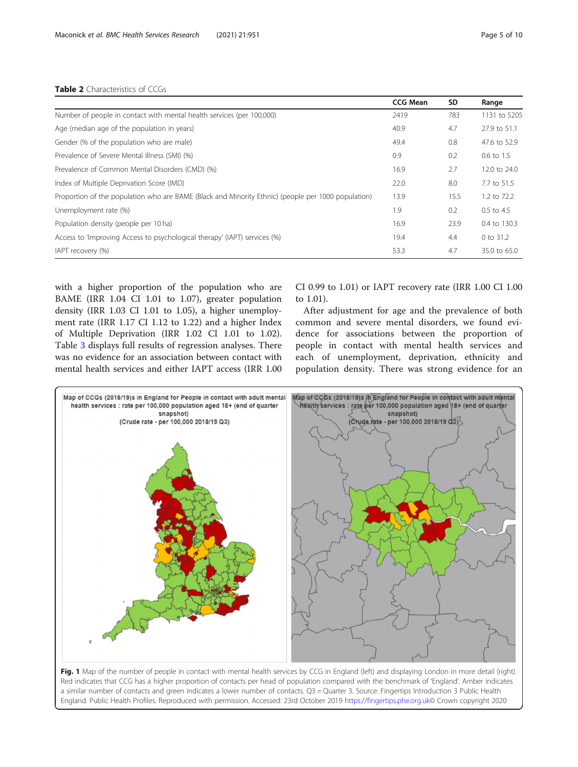#### <span id="page-4-0"></span>Table 2 Characteristics of CCGs

|                                                                                                    | <b>CCG Mean</b> | <b>SD</b> | Range           |
|----------------------------------------------------------------------------------------------------|-----------------|-----------|-----------------|
| Number of people in contact with mental health services (per 100,000)                              | 2419            | 783       | 1131 to 5205    |
| Age (median age of the population in years)                                                        | 40.9            | 4.7       | 27.9 to 51.1    |
| Gender (% of the population who are male)                                                          | 49.4            | 0.8       | 47.6 to 52.9    |
| Prevalence of Severe Mental Illness (SMI) (%)                                                      | 0.9             | 0.2       | 0.6 to 1.5      |
| Prevalence of Common Mental Disorders (CMD) (%)                                                    | 16.9            | 2.7       | 12.0 to 24.0    |
| Index of Multiple Deprivation Score (IMD)                                                          | 22.0            | 8.0       | 7.7 to 51.5     |
| Proportion of the population who are BAME (Black and Minority Ethnic) (people per 1000 population) | 13.9            | 15.5      | $1.2$ to $72.2$ |
| Unemployment rate (%)                                                                              | 1.9             | 0.2       | 0.5 to 4.5      |
| Population density (people per 10 ha)                                                              | 16.9            | 23.9      | 0.4 to 130.3    |
| Access to 'Improving Access to psychological therapy' (IAPT) services (%)                          | 19.4            | 4.4       | 0 to 31.2       |
| IAPT recovery (%)                                                                                  | 53.3            | 4.7       | 35.0 to 65.0    |

with a higher proportion of the population who are BAME (IRR 1.04 CI 1.01 to 1.07), greater population density (IRR 1.03 CI 1.01 to 1.05), a higher unemployment rate (IRR 1.17 CI 1.12 to 1.22) and a higher Index of Multiple Deprivation (IRR 1.02 CI 1.01 to 1.02). Table [3](#page-5-0) displays full results of regression analyses. There was no evidence for an association between contact with mental health services and either IAPT access (IRR 1.00 CI 0.99 to 1.01) or IAPT recovery rate (IRR 1.00 CI 1.00 to 1.01).

After adjustment for age and the prevalence of both common and severe mental disorders, we found evidence for associations between the proportion of people in contact with mental health services and each of unemployment, deprivation, ethnicity and population density. There was strong evidence for an



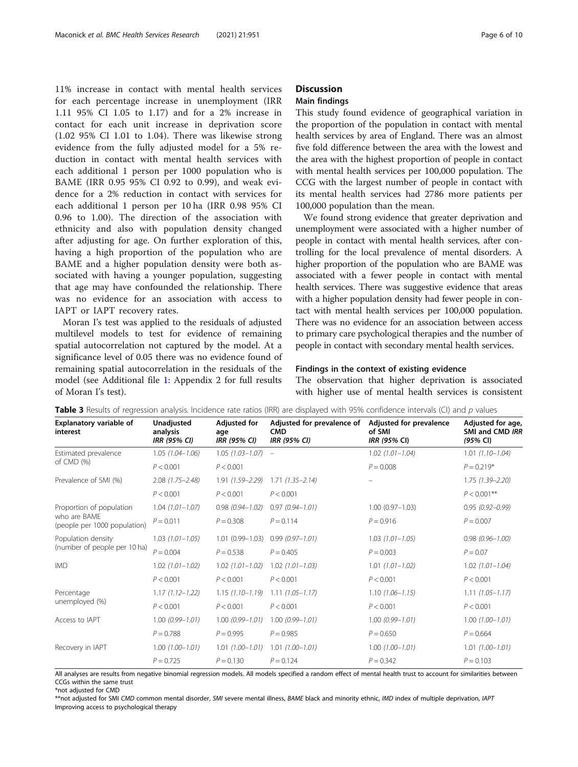<span id="page-5-0"></span>11% increase in contact with mental health services for each percentage increase in unemployment (IRR 1.11 95% CI 1.05 to 1.17) and for a 2% increase in contact for each unit increase in deprivation score (1.02 95% CI 1.01 to 1.04). There was likewise strong evidence from the fully adjusted model for a 5% reduction in contact with mental health services with each additional 1 person per 1000 population who is BAME (IRR 0.95 95% CI 0.92 to 0.99), and weak evidence for a 2% reduction in contact with services for each additional 1 person per 10 ha (IRR 0.98 95% CI 0.96 to 1.00). The direction of the association with ethnicity and also with population density changed after adjusting for age. On further exploration of this, having a high proportion of the population who are BAME and a higher population density were both associated with having a younger population, suggesting that age may have confounded the relationship. There was no evidence for an association with access to IAPT or IAPT recovery rates.

Moran I's test was applied to the residuals of adjusted multilevel models to test for evidence of remaining spatial autocorrelation not captured by the model. At a significance level of 0.05 there was no evidence found of remaining spatial autocorrelation in the residuals of the model (see Additional file [1](#page-8-0): Appendix 2 for full results of Moran I's test).

# **Discussion**

### Main findings

This study found evidence of geographical variation in the proportion of the population in contact with mental health services by area of England. There was an almost five fold difference between the area with the lowest and the area with the highest proportion of people in contact with mental health services per 100,000 population. The CCG with the largest number of people in contact with its mental health services had 2786 more patients per 100,000 population than the mean.

We found strong evidence that greater deprivation and unemployment were associated with a higher number of people in contact with mental health services, after controlling for the local prevalence of mental disorders. A higher proportion of the population who are BAME was associated with a fewer people in contact with mental health services. There was suggestive evidence that areas with a higher population density had fewer people in contact with mental health services per 100,000 population. There was no evidence for an association between access to primary care psychological therapies and the number of people in contact with secondary mental health services.

#### Findings in the context of existing evidence

The observation that higher deprivation is associated with higher use of mental health services is consistent

| Explanatory variable of<br>interest                                      | Unadjusted<br>analysis<br><b>IRR (95% CI)</b> | <b>Adjusted for</b><br>age<br><b>IRR (95% CI)</b> | Adjusted for prevalence of<br><b>CMD</b><br><b>IRR (95% CI)</b> | Adjusted for prevalence<br>of SMI<br><b>IRR (95% CI)</b> | Adjusted for age,<br>SMI and CMD IRR<br>(95% CI) |
|--------------------------------------------------------------------------|-----------------------------------------------|---------------------------------------------------|-----------------------------------------------------------------|----------------------------------------------------------|--------------------------------------------------|
| Estimated prevalence<br>of $CMD$ $%$                                     | $1.05(1.04 - 1.06)$                           | $1.05$ $(1.03 - 1.07)$ -                          |                                                                 | $1.02(1.01 - 1.04)$                                      | $1.01(1.10 - 1.04)$                              |
|                                                                          | P < 0.001                                     | P < 0.001                                         |                                                                 | $P = 0.008$                                              | $P = 0.219*$                                     |
| Prevalence of SMI (%)                                                    | $2.08(1.75 - 2.48)$                           | $1.91(1.59 - 2.29)$                               | $1.71(1.35 - 2.14)$                                             |                                                          | $1.75(1.39 - 2.20)$                              |
|                                                                          | P < 0.001                                     | P < 0.001                                         | P < 0.001                                                       |                                                          | $P < 0.001$ **                                   |
| Proportion of population<br>who are BAMF<br>(people per 1000 population) | $1.04$ $(1.01 - 1.07)$                        | $0.98(0.94 - 1.02)$                               | $0.97(0.94 - 1.01)$                                             | $1.00(0.97 - 1.03)$                                      | $0.95(0.92 - 0.99)$                              |
|                                                                          | $P = 0.011$                                   | $P = 0.308$                                       | $P = 0.114$                                                     | $P = 0.916$                                              | $P = 0.007$                                      |
| Population density<br>(number of people per 10 ha)                       | $1.03$ $(1.01 - 1.05)$                        | $1.01(0.99 - 1.03)$                               | $0.99(0.97 - 1.01)$                                             | $1.03$ $(1.01 - 1.05)$                                   | $0.98(0.96 - 1.00)$                              |
|                                                                          | $P = 0.004$                                   | $P = 0.538$                                       | $P = 0.405$                                                     | $P = 0.003$                                              | $P = 0.07$                                       |
| <b>IMD</b>                                                               | $1.02$ $(1.01 - 1.02)$                        | $1.02$ $(1.01 - 1.02)$                            | $1.02$ $(1.01 - 1.03)$                                          | $1.01(1.01 - 1.02)$                                      | $1.02$ $(1.01 - 1.04)$                           |
|                                                                          | P < 0.001                                     | P < 0.001                                         | P < 0.001                                                       | P < 0.001                                                | P < 0.001                                        |
| Percentage<br>unemployed (%)                                             | $1.17(1.12 - 1.22)$                           | $1.15(1.10 - 1.19)$                               | $1.11(1.05 - 1.17)$                                             | $1.10(1.06 - 1.15)$                                      | $1.11(1.05 - 1.17)$                              |
|                                                                          | P < 0.001                                     | P < 0.001                                         | P < 0.001                                                       | P < 0.001                                                | P < 0.001                                        |
| Access to IAPT                                                           | $1.00(0.99 - 1.01)$                           | $1.00(0.99 - 1.01)$                               | $1.00(0.99 - 1.01)$                                             | $1.00(0.99 - 1.01)$                                      | $1.00(1.00 - 1.01)$                              |
|                                                                          | $P = 0.788$                                   | $P = 0.995$                                       | $P = 0.985$                                                     | $P = 0.650$                                              | $P = 0.664$                                      |
| Recovery in IAPT                                                         | $1.00(1.00 - 1.01)$                           | $1.01(1.00 - 1.01)$                               | $1.01(1.00 - 1.01)$                                             | $1.00(1.00 - 1.01)$                                      | $1.01(1.00 - 1.01)$                              |
|                                                                          | $P = 0.725$                                   | $P = 0.130$                                       | $P = 0.124$                                                     | $P = 0.342$                                              | $P = 0.103$                                      |

Table 3 Results of regression analysis. Incidence rate ratios (IRR) are displayed with 95% confidence intervals (CI) and p values

All analyses are results from negative binomial regression models. All models specified a random effect of mental health trust to account for similarities between CCGs within the same trust

\*not adjusted for CMD

\*\*not adjusted for SMI CMD common mental disorder, SMI severe mental illness, BAME black and minority ethnic, IMD index of multiple deprivation, IAPT Improving access to psychological therapy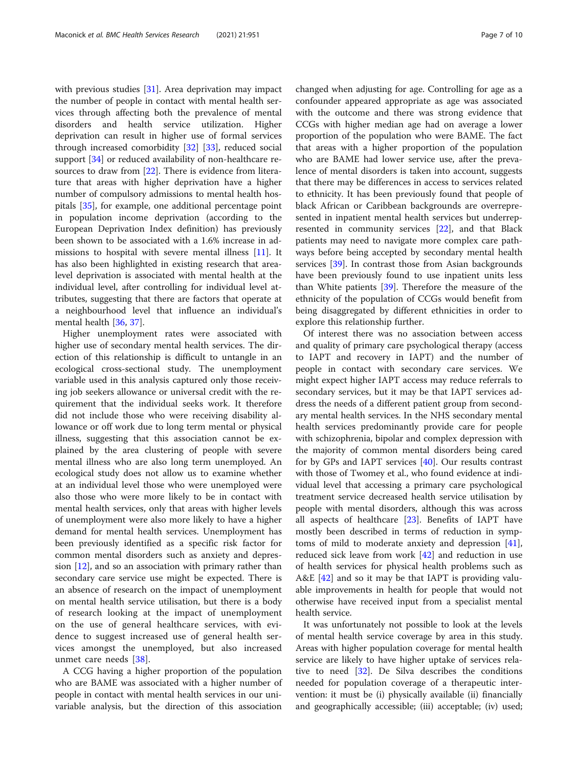with previous studies [[31\]](#page-9-0). Area deprivation may impact the number of people in contact with mental health services through affecting both the prevalence of mental disorders and health service utilization. Higher deprivation can result in higher use of formal services through increased comorbidity [\[32\]](#page-9-0) [\[33\]](#page-9-0), reduced social support [\[34](#page-9-0)] or reduced availability of non-healthcare resources to draw from [\[22](#page-9-0)]. There is evidence from literature that areas with higher deprivation have a higher number of compulsory admissions to mental health hospitals [\[35\]](#page-9-0), for example, one additional percentage point in population income deprivation (according to the European Deprivation Index definition) has previously been shown to be associated with a 1.6% increase in admissions to hospital with severe mental illness [\[11](#page-8-0)]. It has also been highlighted in existing research that arealevel deprivation is associated with mental health at the individual level, after controlling for individual level attributes, suggesting that there are factors that operate at a neighbourhood level that influence an individual's mental health [[36,](#page-9-0) [37\]](#page-9-0).

Higher unemployment rates were associated with higher use of secondary mental health services. The direction of this relationship is difficult to untangle in an ecological cross-sectional study. The unemployment variable used in this analysis captured only those receiving job seekers allowance or universal credit with the requirement that the individual seeks work. It therefore did not include those who were receiving disability allowance or off work due to long term mental or physical illness, suggesting that this association cannot be explained by the area clustering of people with severe mental illness who are also long term unemployed. An ecological study does not allow us to examine whether at an individual level those who were unemployed were also those who were more likely to be in contact with mental health services, only that areas with higher levels of unemployment were also more likely to have a higher demand for mental health services. Unemployment has been previously identified as a specific risk factor for common mental disorders such as anxiety and depression  $[12]$  $[12]$ , and so an association with primary rather than secondary care service use might be expected. There is an absence of research on the impact of unemployment on mental health service utilisation, but there is a body of research looking at the impact of unemployment on the use of general healthcare services, with evidence to suggest increased use of general health services amongst the unemployed, but also increased unmet care needs [[38\]](#page-9-0).

A CCG having a higher proportion of the population who are BAME was associated with a higher number of people in contact with mental health services in our univariable analysis, but the direction of this association changed when adjusting for age. Controlling for age as a confounder appeared appropriate as age was associated with the outcome and there was strong evidence that CCGs with higher median age had on average a lower proportion of the population who were BAME. The fact that areas with a higher proportion of the population who are BAME had lower service use, after the prevalence of mental disorders is taken into account, suggests that there may be differences in access to services related to ethnicity. It has been previously found that people of black African or Caribbean backgrounds are overrepresented in inpatient mental health services but underrepresented in community services [\[22](#page-9-0)], and that Black patients may need to navigate more complex care pathways before being accepted by secondary mental health services [\[39\]](#page-9-0). In contrast those from Asian backgrounds have been previously found to use inpatient units less than White patients [\[39](#page-9-0)]. Therefore the measure of the ethnicity of the population of CCGs would benefit from being disaggregated by different ethnicities in order to explore this relationship further.

Of interest there was no association between access and quality of primary care psychological therapy (access to IAPT and recovery in IAPT) and the number of people in contact with secondary care services. We might expect higher IAPT access may reduce referrals to secondary services, but it may be that IAPT services address the needs of a different patient group from secondary mental health services. In the NHS secondary mental health services predominantly provide care for people with schizophrenia, bipolar and complex depression with the majority of common mental disorders being cared for by GPs and IAPT services [\[40\]](#page-9-0). Our results contrast with those of Twomey et al., who found evidence at individual level that accessing a primary care psychological treatment service decreased health service utilisation by people with mental disorders, although this was across all aspects of healthcare [\[23](#page-9-0)]. Benefits of IAPT have mostly been described in terms of reduction in symptoms of mild to moderate anxiety and depression [\[41](#page-9-0)], reduced sick leave from work [\[42\]](#page-9-0) and reduction in use of health services for physical health problems such as A&E [[42\]](#page-9-0) and so it may be that IAPT is providing valuable improvements in health for people that would not otherwise have received input from a specialist mental health service.

It was unfortunately not possible to look at the levels of mental health service coverage by area in this study. Areas with higher population coverage for mental health service are likely to have higher uptake of services relative to need [[32\]](#page-9-0). De Silva describes the conditions needed for population coverage of a therapeutic intervention: it must be (i) physically available (ii) financially and geographically accessible; (iii) acceptable; (iv) used;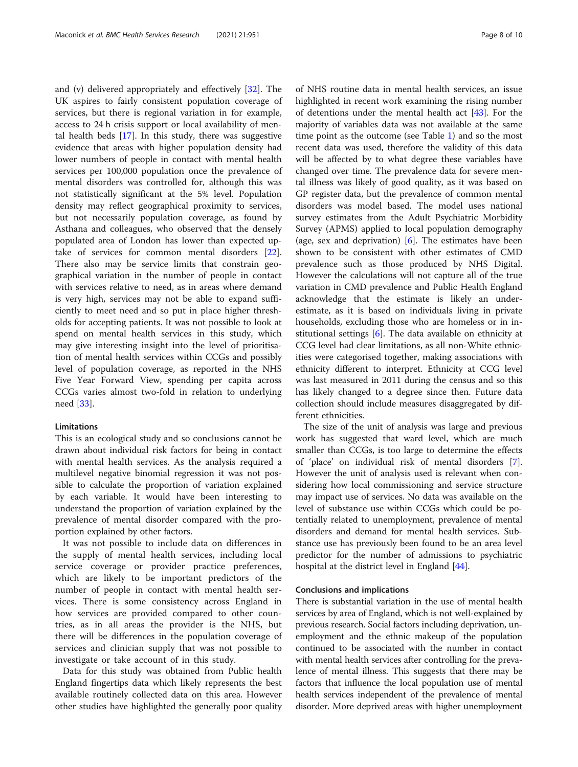and (v) delivered appropriately and effectively [\[32](#page-9-0)]. The UK aspires to fairly consistent population coverage of services, but there is regional variation in for example, access to 24 h crisis support or local availability of mental health beds [[17\]](#page-8-0). In this study, there was suggestive evidence that areas with higher population density had lower numbers of people in contact with mental health services per 100,000 population once the prevalence of mental disorders was controlled for, although this was not statistically significant at the 5% level. Population density may reflect geographical proximity to services, but not necessarily population coverage, as found by Asthana and colleagues, who observed that the densely populated area of London has lower than expected uptake of services for common mental disorders [\[22](#page-9-0)]. There also may be service limits that constrain geographical variation in the number of people in contact with services relative to need, as in areas where demand is very high, services may not be able to expand sufficiently to meet need and so put in place higher thresholds for accepting patients. It was not possible to look at spend on mental health services in this study, which may give interesting insight into the level of prioritisation of mental health services within CCGs and possibly level of population coverage, as reported in the NHS Five Year Forward View, spending per capita across CCGs varies almost two-fold in relation to underlying need [\[33](#page-9-0)].

#### **Limitations**

This is an ecological study and so conclusions cannot be drawn about individual risk factors for being in contact with mental health services. As the analysis required a multilevel negative binomial regression it was not possible to calculate the proportion of variation explained by each variable. It would have been interesting to understand the proportion of variation explained by the prevalence of mental disorder compared with the proportion explained by other factors.

It was not possible to include data on differences in the supply of mental health services, including local service coverage or provider practice preferences, which are likely to be important predictors of the number of people in contact with mental health services. There is some consistency across England in how services are provided compared to other countries, as in all areas the provider is the NHS, but there will be differences in the population coverage of services and clinician supply that was not possible to investigate or take account of in this study.

Data for this study was obtained from Public health England fingertips data which likely represents the best available routinely collected data on this area. However other studies have highlighted the generally poor quality

of NHS routine data in mental health services, an issue highlighted in recent work examining the rising number of detentions under the mental health act [[43](#page-9-0)]. For the majority of variables data was not available at the same time point as the outcome (see Table [1](#page-2-0)) and so the most recent data was used, therefore the validity of this data will be affected by to what degree these variables have changed over time. The prevalence data for severe mental illness was likely of good quality, as it was based on GP register data, but the prevalence of common mental disorders was model based. The model uses national survey estimates from the Adult Psychiatric Morbidity Survey (APMS) applied to local population demography (age, sex and deprivation) [\[6](#page-8-0)]. The estimates have been shown to be consistent with other estimates of CMD prevalence such as those produced by NHS Digital. However the calculations will not capture all of the true variation in CMD prevalence and Public Health England acknowledge that the estimate is likely an underestimate, as it is based on individuals living in private households, excluding those who are homeless or in institutional settings  $[6]$  $[6]$ . The data available on ethnicity at CCG level had clear limitations, as all non-White ethnicities were categorised together, making associations with ethnicity different to interpret. Ethnicity at CCG level was last measured in 2011 during the census and so this has likely changed to a degree since then. Future data collection should include measures disaggregated by different ethnicities.

The size of the unit of analysis was large and previous work has suggested that ward level, which are much smaller than CCGs, is too large to determine the effects of 'place' on individual risk of mental disorders [\[7](#page-8-0)]. However the unit of analysis used is relevant when considering how local commissioning and service structure may impact use of services. No data was available on the level of substance use within CCGs which could be potentially related to unemployment, prevalence of mental disorders and demand for mental health services. Substance use has previously been found to be an area level predictor for the number of admissions to psychiatric hospital at the district level in England [\[44\]](#page-9-0).

#### Conclusions and implications

There is substantial variation in the use of mental health services by area of England, which is not well-explained by previous research. Social factors including deprivation, unemployment and the ethnic makeup of the population continued to be associated with the number in contact with mental health services after controlling for the prevalence of mental illness. This suggests that there may be factors that influence the local population use of mental health services independent of the prevalence of mental disorder. More deprived areas with higher unemployment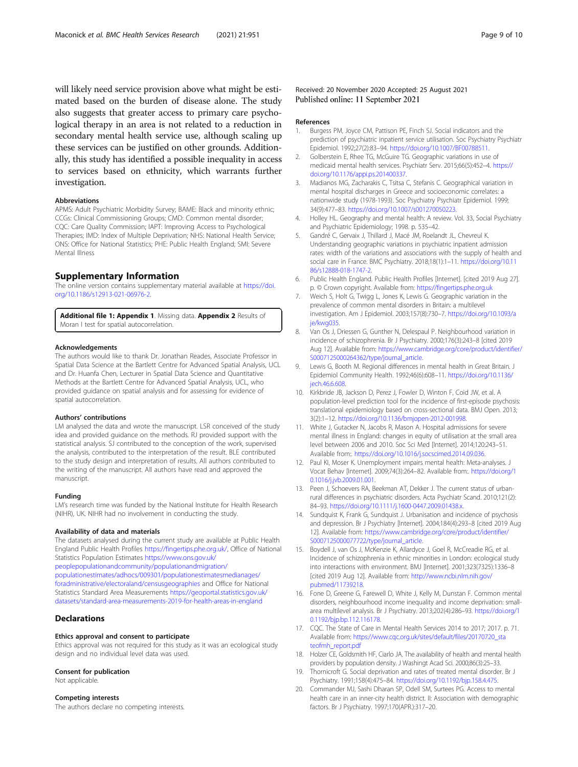<span id="page-8-0"></span>will likely need service provision above what might be estimated based on the burden of disease alone. The study also suggests that greater access to primary care psychological therapy in an area is not related to a reduction in secondary mental health service use, although scaling up these services can be justified on other grounds. Additionally, this study has identified a possible inequality in access to services based on ethnicity, which warrants further investigation.

#### Abbreviations

APMS: Adult Psychiatric Morbidity Survey; BAME: Black and minority ethnic; CCGs: Clinical Commissioning Groups; CMD: Common mental disorder; CQC: Care Quality Commission; IAPT: Improving Access to Psychological Therapies; IMD: Index of Multiple Deprivation; NHS: National Health Service; ONS: Office for National Statistics; PHE: Public Health England; SMI: Severe Mental Illness

#### Supplementary Information

The online version contains supplementary material available at [https://doi.](https://doi.org/10.1186/s12913-021-06976-2) [org/10.1186/s12913-021-06976-2.](https://doi.org/10.1186/s12913-021-06976-2)

Additional file 1: Appendix 1. Missing data. Appendix 2 Results of Moran I test for spatial autocorrelation.

#### Acknowledgements

The authors would like to thank Dr. Jonathan Reades, Associate Professor in Spatial Data Science at the Bartlett Centre for Advanced Spatial Analysis, UCL and Dr. Huanfa Chen, Lecturer in Spatial Data Science and Quantitative Methods at the Bartlett Centre for Advanced Spatial Analysis, UCL, who provided guidance on spatial analysis and for assessing for evidence of spatial autocorrelation.

#### Authors' contributions

LM analysed the data and wrote the manuscript. LSR conceived of the study idea and provided guidance on the methods. RJ provided support with the statistical analysis. SJ contributed to the conception of the work, supervised the analysis, contributed to the interpretation of the result. BLE contributed to the study design and interpretation of results. All authors contributed to the writing of the manuscript. All authors have read and approved the manuscript.

#### Funding

LM's research time was funded by the National Institute for Health Research (NIHR), UK. NIHR had no involvement in conducting the study.

#### Availability of data and materials

The datasets analysed during the current study are available at Public Health England Public Health Profiles <https://fingertips.phe.org.uk/>, Office of National Statistics Population Estimates [https://www.ons.gov.uk/](https://www.ons.gov.uk/peoplepopulationandcommunity/populationandmigration/populationestimates/adhocs/009301populationestimatesmedianagesforadministrativeelectoralandcensusgeographies) [peoplepopulationandcommunity/populationandmigration/](https://www.ons.gov.uk/peoplepopulationandcommunity/populationandmigration/populationestimates/adhocs/009301populationestimatesmedianagesforadministrativeelectoralandcensusgeographies)

[populationestimates/adhocs/009301/populationestimatesmedianages/](https://www.ons.gov.uk/peoplepopulationandcommunity/populationandmigration/populationestimates/adhocs/009301populationestimatesmedianagesforadministrativeelectoralandcensusgeographies) [foradministrative/electoraland/censusgeographies](https://www.ons.gov.uk/peoplepopulationandcommunity/populationandmigration/populationestimates/adhocs/009301populationestimatesmedianagesforadministrativeelectoralandcensusgeographies) and Office for National Statistics Standard Area Measurements [https://geoportal.statistics.gov.uk/](https://geoportal.statistics.gov.uk/datasets/standard-area-measurements-2019-for-health-areas-in-england) [datasets/standard-area-measurements-2019-for-health-areas-in-england](https://geoportal.statistics.gov.uk/datasets/standard-area-measurements-2019-for-health-areas-in-england)

#### **Declarations**

#### Ethics approval and consent to participate

Ethics approval was not required for this study as it was an ecological study design and no individual level data was used.

#### Consent for publication

Not applicable.

#### Competing interests

The authors declare no competing interests.

#### Received: 20 November 2020 Accepted: 25 August 2021 Published online: 11 September 2021

#### References

- 1. Burgess PM, Joyce CM, Pattison PE, Finch SJ. Social indicators and the prediction of psychiatric inpatient service utilisation. Soc Psychiatry Psychiatr Epidemiol. 1992;27(2):83–94. <https://doi.org/10.1007/BF00788511>.
- 2. Golberstein E, Rhee TG, McGuire TG. Geographic variations in use of medicaid mental health services. Psychiatr Serv. 2015;66(5):452–4. [https://](https://doi.org/10.1176/appi.ps.201400337) [doi.org/10.1176/appi.ps.201400337](https://doi.org/10.1176/appi.ps.201400337).
- 3. Madianos MG, Zacharakis C, Tsitsa C, Stefanis C. Geographical variation in mental hospital discharges in Greece and socioeconomic correlates: a nationwide study (1978-1993). Soc Psychiatry Psychiatr Epidemiol. 1999; 34(9):477–83. [https://doi.org/10.1007/s001270050223.](https://doi.org/10.1007/s001270050223)
- 4. Holley HL. Geography and mental health: A review. Vol. 33, Social Psychiatry and Psychiatric Epidemiology; 1998. p. 535–42.
- 5. Gandré C, Gervaix J, Thillard J, Macé JM, Roelandt JL, Chevreul K. Understanding geographic variations in psychiatric inpatient admission rates: width of the variations and associations with the supply of health and social care in France. BMC Psychiatry. 2018;18(1):1–11. [https://doi.org/10.11](https://doi.org/10.1186/s12888-018-1747-2) [86/s12888-018-1747-2](https://doi.org/10.1186/s12888-018-1747-2).
- 6. Public Health England. Public Health Profiles [Internet]. [cited 2019 Aug 27]. p. © Crown copyright. Available from: <https://fingertips.phe.org.uk>
- 7. Weich S, Holt G, Twigg L, Jones K, Lewis G. Geographic variation in the prevalence of common mental disorders in Britain: a multilevel investigation. Am J Epidemiol. 2003;157(8):730–7. [https://doi.org/10.1093/a](https://doi.org/10.1093/aje/kwg035) [je/kwg035](https://doi.org/10.1093/aje/kwg035).
- 8. Van Os J, Driessen G, Gunther N, Delespaul P. Neighbourhood variation in incidence of schizophrenia. Br J Psychiatry. 2000;176(3):243–8 [cited 2019 Aug 12]. Available from: [https://www.cambridge.org/core/product/identifier/](https://www.cambridge.org/core/product/identifier/S0007125000264362/type/journal_article) [S0007125000264362/type/journal\\_article](https://www.cambridge.org/core/product/identifier/S0007125000264362/type/journal_article).
- 9. Lewis G, Booth M. Regional differences in mental health in Great Britain. J Epidemiol Community Health. 1992;46(6):608–11. [https://doi.org/10.1136/](https://doi.org/10.1136/jech.46.6.608) [jech.46.6.608.](https://doi.org/10.1136/jech.46.6.608)
- 10. Kirkbride JB, Jackson D, Perez J, Fowler D, Winton F, Coid JW, et al. A population-level prediction tool for the incidence of first-episode psychosis: translational epidemiology based on cross-sectional data. BMJ Open. 2013; 3(2):1–12. <https://doi.org/10.1136/bmjopen-2012-001998>.
- 11. White J, Gutacker N, Jacobs R, Mason A. Hospital admissions for severe mental illness in England: changes in equity of utilisation at the small area level between 2006 and 2010. Soc Sci Med [Internet]. 2014;120:243–51. Available from:. <https://doi.org/10.1016/j.socscimed.2014.09.036>.
- 12. Paul KI, Moser K. Unemployment impairs mental health: Meta-analyses. J Vocat Behav [Internet]. 2009;74(3):264–82. Available from:. [https://doi.org/1](https://doi.org/10.1016/j.jvb.2009.01.001) [0.1016/j.jvb.2009.01.001.](https://doi.org/10.1016/j.jvb.2009.01.001)
- 13. Peen J, Schoevers RA, Beekman AT, Dekker J. The current status of urbanrural differences in psychiatric disorders. Acta Psychiatr Scand. 2010;121(2): 84–93. [https://doi.org/10.1111/j.1600-0447.2009.01438.x.](https://doi.org/10.1111/j.1600-0447.2009.01438.x)
- 14. Sundquist K, Frank G, Sundquist J. Urbanisation and incidence of psychosis and depression. Br J Psychiatry [Internet]. 2004;184(4):293–8 [cited 2019 Aug 12]. Available from: [https://www.cambridge.org/core/product/identifier/](https://www.cambridge.org/core/product/identifier/S0007125000077722/type/journal_article) [S0007125000077722/type/journal\\_article](https://www.cambridge.org/core/product/identifier/S0007125000077722/type/journal_article).
- 15. Boydell J, van Os J, McKenzie K, Allardyce J, Goel R, McCreadie RG, et al. Incidence of schizophrenia in ethnic minorities in London: ecological study into interactions with environment. BMJ [Internet]. 2001;323(7325):1336–8 [cited 2019 Aug 12]. Available from: [http://www.ncbi.nlm.nih.gov/](http://www.ncbi.nlm.nih.gov/pubmed/11739218) [pubmed/11739218.](http://www.ncbi.nlm.nih.gov/pubmed/11739218)
- 16. Fone D, Greene G, Farewell D, White J, Kelly M, Dunstan F. Common mental disorders, neighbourhood income inequality and income deprivation: smallarea multilevel analysis. Br J Psychiatry. 2013;202(4):286–93. [https://doi.org/1](https://doi.org/10.1192/bjp.bp.112.116178) [0.1192/bjp.bp.112.116178.](https://doi.org/10.1192/bjp.bp.112.116178)
- 17. CQC. The State of Care in Mental Health Services 2014 to 2017; 2017. p. 71. Available from: [https://www.cqc.org.uk/sites/default/files/20170720\\_sta](https://www.cqc.org.uk/sites/default/files/20170720_stateofmh_report.pdf) [teofmh\\_report.pdf](https://www.cqc.org.uk/sites/default/files/20170720_stateofmh_report.pdf)
- 18. Holzer CE, Goldsmith HF, Ciarlo JA. The availability of health and mental health providers by population density. J Washingt Acad Sci. 2000;86(3):25–33.
- 19. Thornicroft G. Social deprivation and rates of treated mental disorder. Br J Psychiatry. 1991;158(4):475–84. <https://doi.org/10.1192/bjp.158.4.475>.
- 20. Commander MJ, Sashi Dharan SP, Odell SM, Surtees PG. Access to mental health care in an inner-city health district. II: Association with demographic factors. Br J Psychiatry. 1997;170(APR.):317–20.